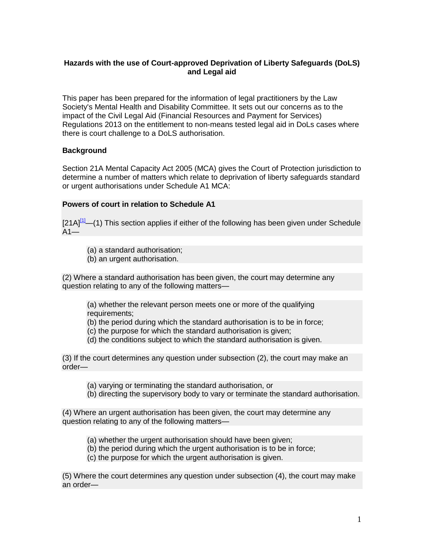# **Hazards with the use of Court-approved Deprivation of Liberty Safeguards (DoLS) and Legal aid**

This paper has been prepared for the information of legal practitioners by the Law Society's Mental Health and Disability Committee. It sets out our concerns as to the impact of the Civil Legal Aid (Financial Resources and Payment for Services) Regulations 2013 on the entitlement to non-means tested legal aid in DoLs cases where there is court challenge to a DoLS authorisation.

# **Background**

Section 21A Mental Capacity Act 2005 (MCA) gives the Court of Protection jurisdiction to determine a number of matters which relate to deprivation of liberty safeguards standard or urgent authorisations under Schedule A1 MCA:

### **Powers of court in relation to Schedule A1**

 $[21A]^{11}$ —(1) This section applies if either of the following has been given under Schedule  $A1$ —

(a) a standard authorisation;

(b) an urgent authorisation.

(2) Where a standard authorisation has been given, the court may determine any question relating to any of the following matters—

(a) whether the relevant person meets one or more of the qualifying requirements;

(b) the period during which the standard authorisation is to be in force;

- (c) the purpose for which the standard authorisation is given;
- (d) the conditions subject to which the standard authorisation is given.

(3) If the court determines any question under subsection (2), the court may make an order—

(a) varying or terminating the standard authorisation, or

(b) directing the supervisory body to vary or terminate the standard authorisation.

(4) Where an urgent authorisation has been given, the court may determine any question relating to any of the following matters—

(a) whether the urgent authorisation should have been given;

- (b) the period during which the urgent authorisation is to be in force;
- (c) the purpose for which the urgent authorisation is given.

(5) Where the court determines any question under subsection (4), the court may make an order—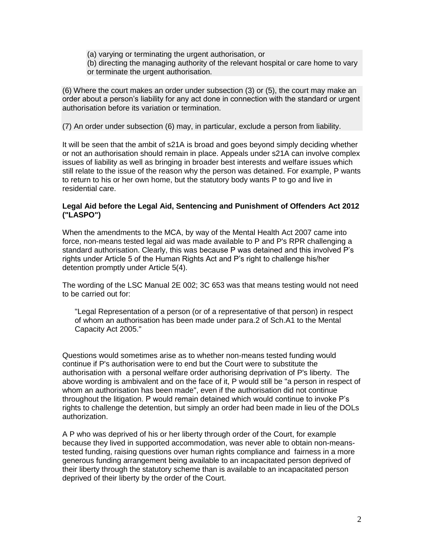(a) varying or terminating the urgent authorisation, or (b) directing the managing authority of the relevant hospital or care home to vary or terminate the urgent authorisation.

(6) Where the court makes an order under subsection (3) or (5), the court may make an order about a person's liability for any act done in connection with the standard or urgent authorisation before its variation or termination.

(7) An order under subsection (6) may, in particular, exclude a person from liability.

It will be seen that the ambit of s21A is broad and goes beyond simply deciding whether or not an authorisation should remain in place. Appeals under s21A can involve complex issues of liability as well as bringing in broader best interests and welfare issues which still relate to the issue of the reason why the person was detained. For example, P wants to return to his or her own home, but the statutory body wants P to go and live in residential care.

#### **Legal Aid before the Legal Aid, Sentencing and Punishment of Offenders Act 2012 ("LASPO")**

When the amendments to the MCA, by way of the Mental Health Act 2007 came into force, non-means tested legal aid was made available to P and P's RPR challenging a standard authorisation. Clearly, this was because P was detained and this involved P's rights under Article 5 of the Human Rights Act and P's right to challenge his/her detention promptly under Article 5(4).

The wording of the LSC Manual 2E 002; 3C 653 was that means testing would not need to be carried out for:

"Legal Representation of a person (or of a representative of that person) in respect of whom an authorisation has been made under para.2 of Sch.A1 to the Mental Capacity Act 2005."

Questions would sometimes arise as to whether non-means tested funding would continue if P's authorisation were to end but the Court were to substitute the authorisation with a personal welfare order authorising deprivation of P's liberty. The above wording is ambivalent and on the face of it, P would still be "a person in respect of whom an authorisation has been made", even if the authorisation did not continue throughout the litigation. P would remain detained which would continue to invoke P's rights to challenge the detention, but simply an order had been made in lieu of the DOLs authorization.

A P who was deprived of his or her liberty through order of the Court, for example because they lived in supported accommodation, was never able to obtain non-meanstested funding, raising questions over human rights compliance and fairness in a more generous funding arrangement being available to an incapacitated person deprived of their liberty through the statutory scheme than is available to an incapacitated person deprived of their liberty by the order of the Court.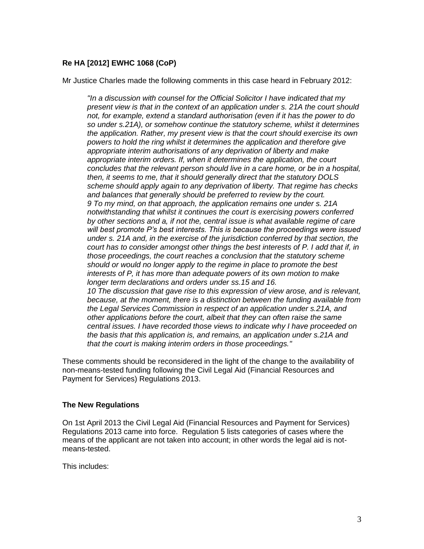# **Re HA [2012] EWHC 1068 (CoP)**

Mr Justice Charles made the following comments in this case heard in February 2012:

*"In a discussion with counsel for the Official Solicitor I have indicated that my present view is that in the context of an application under s. 21A the court should not, for example, extend a standard authorisation (even if it has the power to do so under s.21A), or somehow continue the statutory scheme, whilst it determines the application. Rather, my present view is that the court should exercise its own powers to hold the ring whilst it determines the application and therefore give appropriate interim authorisations of any deprivation of liberty and make appropriate interim orders. If, when it determines the application, the court concludes that the relevant person should live in a care home, or be in a hospital, then, it seems to me, that it should generally direct that the statutory DOLS scheme should apply again to any deprivation of liberty. That regime has checks and balances that generally should be preferred to review by the court. 9 To my mind, on that approach, the application remains one under s. 21A notwithstanding that whilst it continues the court is exercising powers conferred by other sections and a, if not the, central issue is what available regime of care will best promote P's best interests. This is because the proceedings were issued under s. 21A and, in the exercise of the jurisdiction conferred by that section, the court has to consider amongst other things the best interests of P. I add that if, in those proceedings, the court reaches a conclusion that the statutory scheme should or would no longer apply to the regime in place to promote the best interests of P, it has more than adequate powers of its own motion to make longer term declarations and orders under ss.15 and 16. 10 The discussion that gave rise to this expression of view arose, and is relevant, because, at the moment, there is a distinction between the funding available from the Legal Services Commission in respect of an application under s.21A, and other applications before the court, albeit that they can often raise the same central issues. I have recorded those views to indicate why I have proceeded on the basis that this application is, and remains, an application under s.21A and that the court is making interim orders in those proceedings."*

These comments should be reconsidered in the light of the change to the availability of non-means-tested funding following the Civil Legal Aid (Financial Resources and Payment for Services) Regulations 2013.

#### **The New Regulations**

On 1st April 2013 the Civil Legal Aid (Financial Resources and Payment for Services) Regulations 2013 came into force. Regulation 5 lists categories of cases where the means of the applicant are not taken into account; in other words the legal aid is notmeans-tested.

This includes: